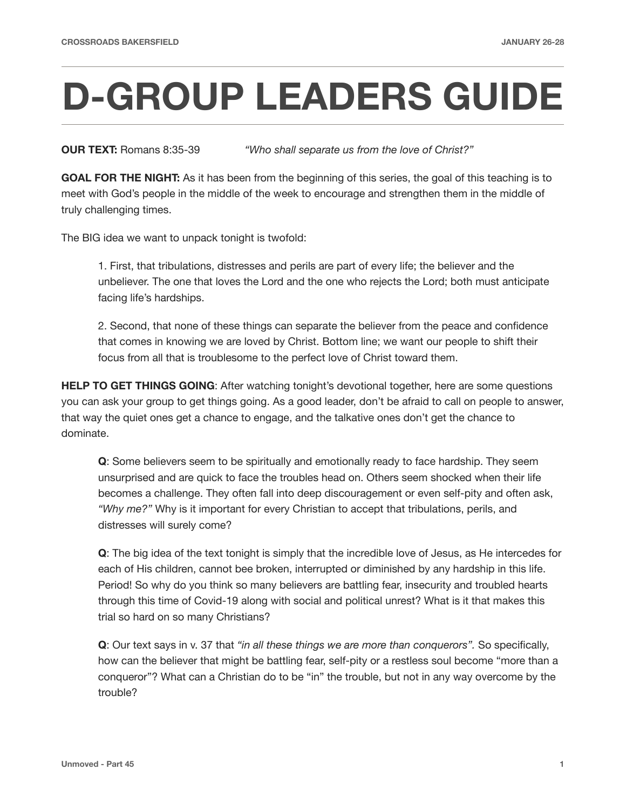## **D-GROUP LEADERS GUIDE**

**OUR TEXT:** Romans 8:35-39 *"Who shall separate us from the love of Christ?"* 

**GOAL FOR THE NIGHT:** As it has been from the beginning of this series, the goal of this teaching is to meet with God's people in the middle of the week to encourage and strengthen them in the middle of truly challenging times.

The BIG idea we want to unpack tonight is twofold:

1. First, that tribulations, distresses and perils are part of every life; the believer and the unbeliever. The one that loves the Lord and the one who rejects the Lord; both must anticipate facing life's hardships.

2. Second, that none of these things can separate the believer from the peace and confidence that comes in knowing we are loved by Christ. Bottom line; we want our people to shift their focus from all that is troublesome to the perfect love of Christ toward them.

**HELP TO GET THINGS GOING:** After watching tonight's devotional together, here are some questions you can ask your group to get things going. As a good leader, don't be afraid to call on people to answer, that way the quiet ones get a chance to engage, and the talkative ones don't get the chance to dominate.

**Q**: Some believers seem to be spiritually and emotionally ready to face hardship. They seem unsurprised and are quick to face the troubles head on. Others seem shocked when their life becomes a challenge. They often fall into deep discouragement or even self-pity and often ask, *"Why me?"* Why is it important for every Christian to accept that tribulations, perils, and distresses will surely come?

**Q**: The big idea of the text tonight is simply that the incredible love of Jesus, as He intercedes for each of His children, cannot bee broken, interrupted or diminished by any hardship in this life. Period! So why do you think so many believers are battling fear, insecurity and troubled hearts through this time of Covid-19 along with social and political unrest? What is it that makes this trial so hard on so many Christians?

**Q**: Our text says in v. 37 that *"in all these things we are more than conquerors".* So specifically, how can the believer that might be battling fear, self-pity or a restless soul become "more than a conqueror"? What can a Christian do to be "in" the trouble, but not in any way overcome by the trouble?